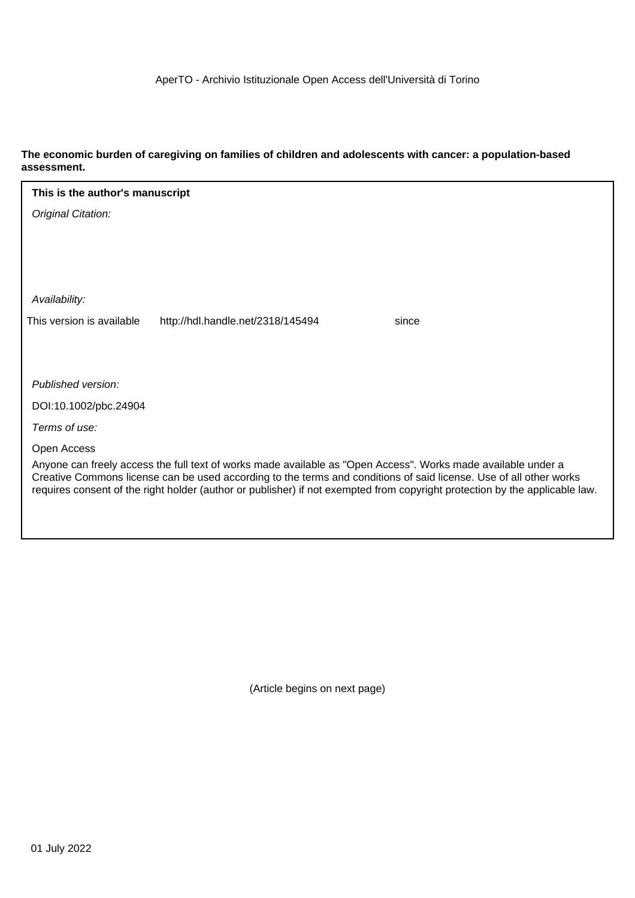# **The economic burden of caregiving on families of children and adolescents with cancer: a population-based assessment.**

| This is the author's manuscript                                                                                                                                                                                                                                                                                                                                    |  |  |  |  |  |  |  |
|--------------------------------------------------------------------------------------------------------------------------------------------------------------------------------------------------------------------------------------------------------------------------------------------------------------------------------------------------------------------|--|--|--|--|--|--|--|
| Original Citation:                                                                                                                                                                                                                                                                                                                                                 |  |  |  |  |  |  |  |
|                                                                                                                                                                                                                                                                                                                                                                    |  |  |  |  |  |  |  |
|                                                                                                                                                                                                                                                                                                                                                                    |  |  |  |  |  |  |  |
|                                                                                                                                                                                                                                                                                                                                                                    |  |  |  |  |  |  |  |
| Availability:                                                                                                                                                                                                                                                                                                                                                      |  |  |  |  |  |  |  |
| This version is available<br>http://hdl.handle.net/2318/145494<br>since                                                                                                                                                                                                                                                                                            |  |  |  |  |  |  |  |
|                                                                                                                                                                                                                                                                                                                                                                    |  |  |  |  |  |  |  |
|                                                                                                                                                                                                                                                                                                                                                                    |  |  |  |  |  |  |  |
| Published version:                                                                                                                                                                                                                                                                                                                                                 |  |  |  |  |  |  |  |
| DOI:10.1002/pbc.24904                                                                                                                                                                                                                                                                                                                                              |  |  |  |  |  |  |  |
| Terms of use:                                                                                                                                                                                                                                                                                                                                                      |  |  |  |  |  |  |  |
| Open Access                                                                                                                                                                                                                                                                                                                                                        |  |  |  |  |  |  |  |
| Anyone can freely access the full text of works made available as "Open Access". Works made available under a<br>Creative Commons license can be used according to the terms and conditions of said license. Use of all other works<br>requires consent of the right holder (author or publisher) if not exempted from copyright protection by the applicable law. |  |  |  |  |  |  |  |
|                                                                                                                                                                                                                                                                                                                                                                    |  |  |  |  |  |  |  |

(Article begins on next page)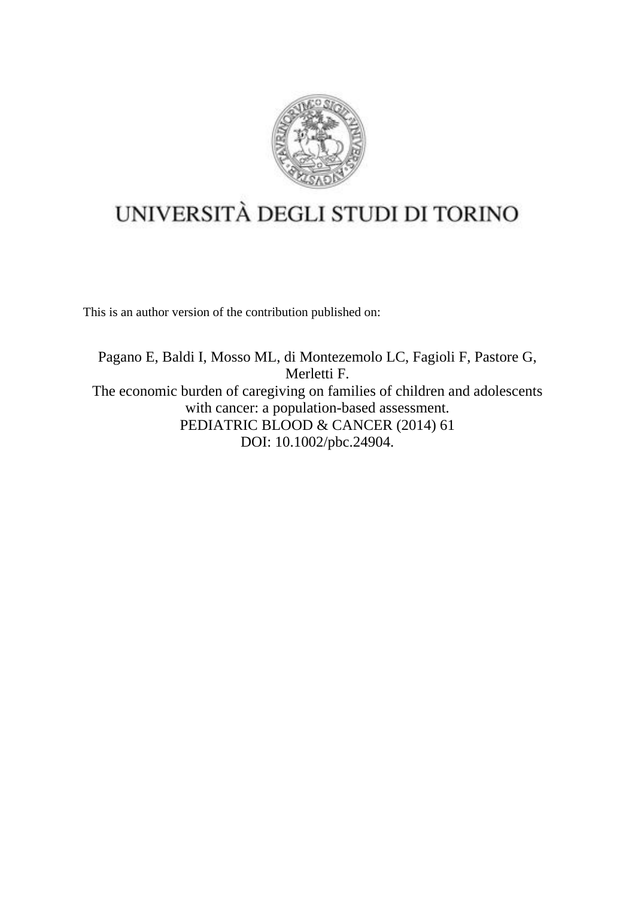

# UNIVERSITÀ DEGLI STUDI DI TORINO

This is an author version of the contribution published on:

Pagano E, Baldi I, Mosso ML, di Montezemolo LC, Fagioli F, Pastore G, Merletti F. The economic burden of caregiving on families of children and adolescents with cancer: a population-based assessment. PEDIATRIC BLOOD & CANCER (2014) 61 DOI: 10.1002/pbc.24904.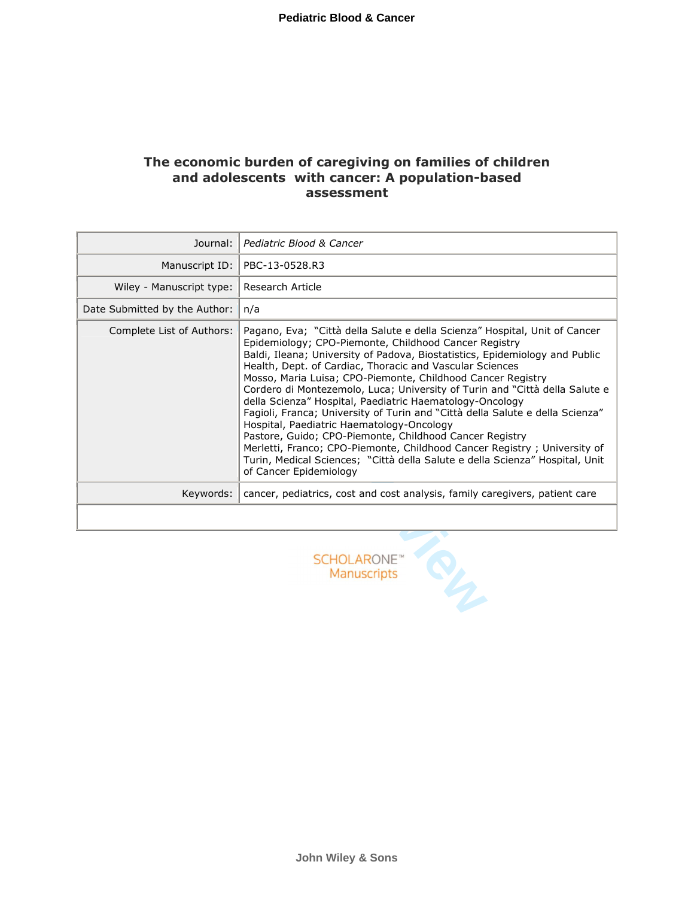# **The economic burden of caregiving on families of children and adolescents with cancer: A population-based assessment**

| Journal:                                      | Pediatric Blood & Cancer                                                                                                                                                                                                                                                                                                                                                                                                                                                                                                                                                                                                                                                                                                                                                                                                                                                |  |  |  |
|-----------------------------------------------|-------------------------------------------------------------------------------------------------------------------------------------------------------------------------------------------------------------------------------------------------------------------------------------------------------------------------------------------------------------------------------------------------------------------------------------------------------------------------------------------------------------------------------------------------------------------------------------------------------------------------------------------------------------------------------------------------------------------------------------------------------------------------------------------------------------------------------------------------------------------------|--|--|--|
| Manuscript ID:                                | PBC-13-0528.R3                                                                                                                                                                                                                                                                                                                                                                                                                                                                                                                                                                                                                                                                                                                                                                                                                                                          |  |  |  |
| Wiley - Manuscript type:                      | Research Article                                                                                                                                                                                                                                                                                                                                                                                                                                                                                                                                                                                                                                                                                                                                                                                                                                                        |  |  |  |
| Date Submitted by the Author:                 | n/a                                                                                                                                                                                                                                                                                                                                                                                                                                                                                                                                                                                                                                                                                                                                                                                                                                                                     |  |  |  |
| Complete List of Authors:                     | Pagano, Eva; "Città della Salute e della Scienza" Hospital, Unit of Cancer<br>Epidemiology; CPO-Piemonte, Childhood Cancer Registry<br>Baldi, Ileana; University of Padova, Biostatistics, Epidemiology and Public<br>Health, Dept. of Cardiac, Thoracic and Vascular Sciences<br>Mosso, Maria Luisa; CPO-Piemonte, Childhood Cancer Registry<br>Cordero di Montezemolo, Luca; University of Turin and "Città della Salute e<br>della Scienza" Hospital, Paediatric Haematology-Oncology<br>Fagioli, Franca; University of Turin and "Città della Salute e della Scienza"<br>Hospital, Paediatric Haematology-Oncology<br>Pastore, Guido; CPO-Piemonte, Childhood Cancer Registry<br>Merletti, Franco; CPO-Piemonte, Childhood Cancer Registry; University of<br>Turin, Medical Sciences; "Città della Salute e della Scienza" Hospital, Unit<br>of Cancer Epidemiology |  |  |  |
| Keywords:                                     | cancer, pediatrics, cost and cost analysis, family caregivers, patient care                                                                                                                                                                                                                                                                                                                                                                                                                                                                                                                                                                                                                                                                                                                                                                                             |  |  |  |
|                                               |                                                                                                                                                                                                                                                                                                                                                                                                                                                                                                                                                                                                                                                                                                                                                                                                                                                                         |  |  |  |
| <b>SCHOLARONE</b> <sup>®</sup><br>Manuscripts |                                                                                                                                                                                                                                                                                                                                                                                                                                                                                                                                                                                                                                                                                                                                                                                                                                                                         |  |  |  |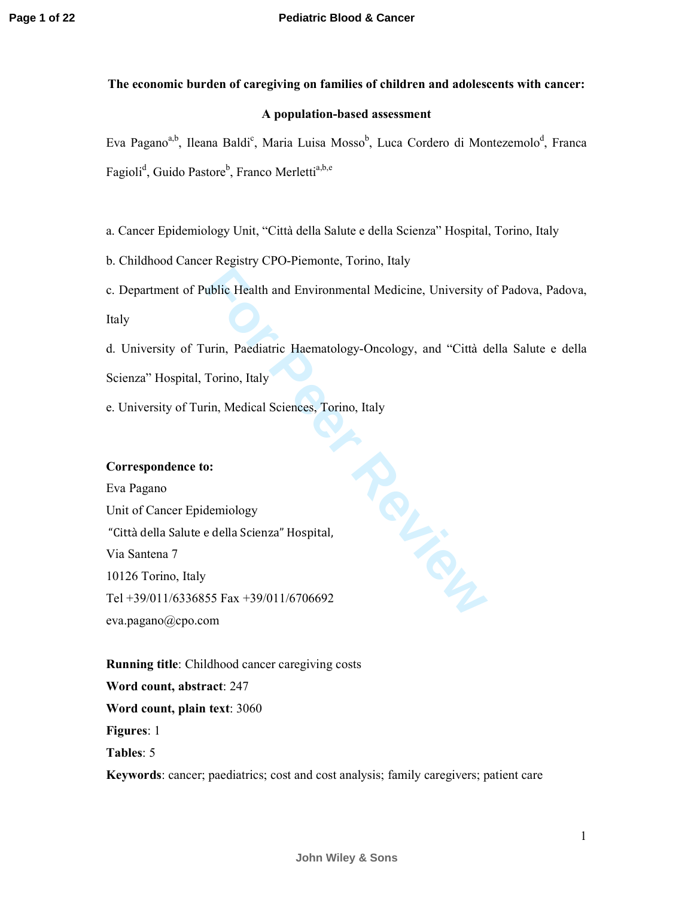# **The economic burden of caregiving on families of children and adolescents with cancer:**

## **A population-based assessment**

Eva Pagano<sup>a,b</sup>, Ileana Baldi<sup>c</sup>, Maria Luisa Mosso<sup>b</sup>, Luca Cordero di Montezemolo<sup>d</sup>, Franca Fagioli<sup>d</sup>, Guido Pastore<sup>b</sup>, Franco Merletti<sup>a,b,e</sup>

a. Cancer Epidemiology Unit, "Città della Salute e della Scienza" Hospital, Torino, Italy

b. Childhood Cancer Registry CPO-Piemonte, Torino, Italy

c. Department of Public Health and Environmental Medicine, University of Padova, Padova,

Italy

d. University of Turin, Paediatric Haematology-Oncology, and "Città della Salute e della Scienza" Hospital, Torino, Italy

e. University of Turin, Medical Sciences, Torino, Italy

## **Correspondence to:**

Eva Pagano Unit of Cancer Epidemiology "Città della Salute e della Scienza" Hospital, Via Santena 7 10126 Torino, Italy Tel +39/011/6336855 Fax +39/011/6706692 eva.pagano@cpo.com

**Review** 

**Running title**: Childhood cancer caregiving costs **Word count, abstract**: 247 **Word count, plain text**: 3060 **Figures**: 1 **Tables**: 5

**Keywords**: cancer; paediatrics; cost and cost analysis; family caregivers; patient care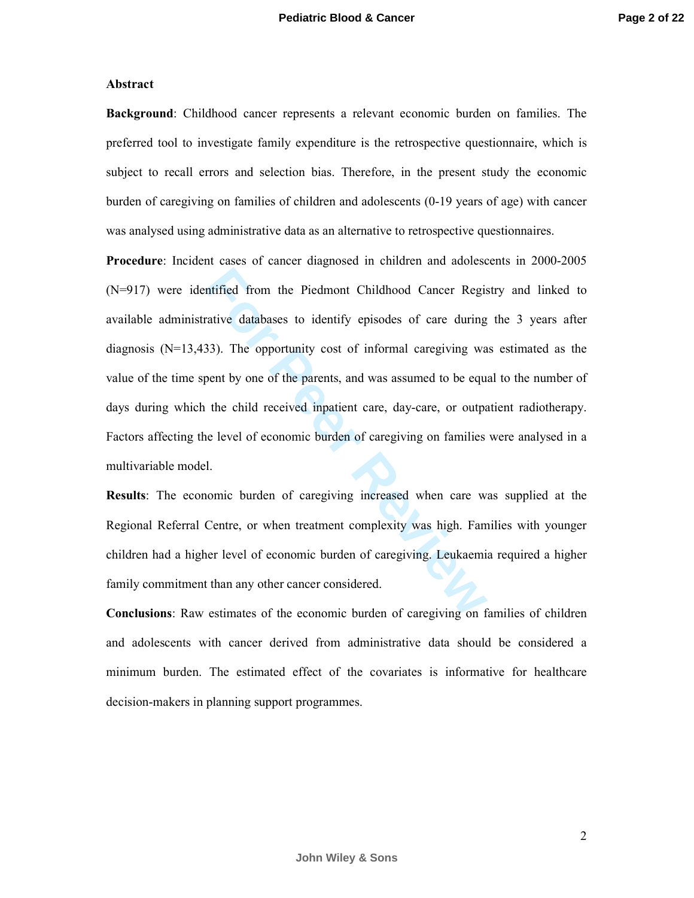#### **Abstract**

**Background**: Childhood cancer represents a relevant economic burden on families. The preferred tool to investigate family expenditure is the retrospective questionnaire, which is subject to recall errors and selection bias. Therefore, in the present study the economic burden of caregiving on families of children and adolescents (0-19 years of age) with cancer was analysed using administrative data as an alternative to retrospective questionnaires.

Intified from the Piedmont Childhood Cancer Registrative databases to identify episodes of care during 33). The opportunity cost of informal caregiving was poent by one of the parents, and was assumed to be equate the chil **Procedure**: Incident cases of cancer diagnosed in children and adolescents in 2000-2005 (N=917) were identified from the Piedmont Childhood Cancer Registry and linked to available administrative databases to identify episodes of care during the 3 years after diagnosis (N=13,433). The opportunity cost of informal caregiving was estimated as the value of the time spent by one of the parents, and was assumed to be equal to the number of days during which the child received inpatient care, day-care, or outpatient radiotherapy. Factors affecting the level of economic burden of caregiving on families were analysed in a multivariable model.

**Results**: The economic burden of caregiving increased when care was supplied at the Regional Referral Centre, or when treatment complexity was high. Families with younger children had a higher level of economic burden of caregiving. Leukaemia required a higher family commitment than any other cancer considered.

**Conclusions**: Raw estimates of the economic burden of caregiving on families of children and adolescents with cancer derived from administrative data should be considered a minimum burden. The estimated effect of the covariates is informative for healthcare decision-makers in planning support programmes.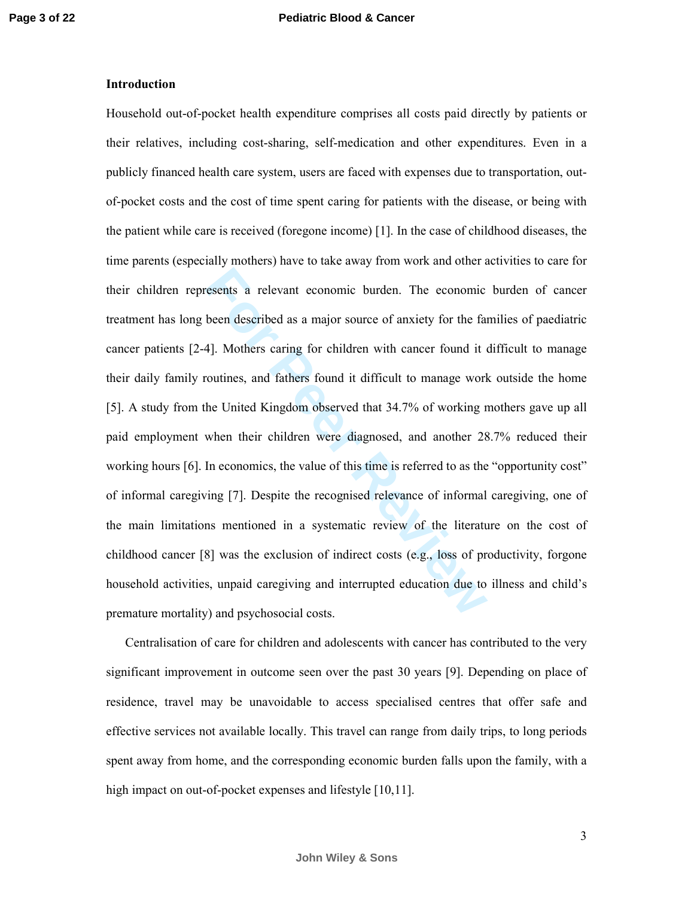## **Introduction**

resents a relevant economic burden. The economic<br>been described as a major source of anxiety for the far<br>4]. Mothers caring for children with cancer found it<br>coutines, and fathers found it difficult to manage work<br>he Unite Household out-of-pocket health expenditure comprises all costs paid directly by patients or their relatives, including cost-sharing, self-medication and other expenditures. Even in a publicly financed health care system, users are faced with expenses due to transportation, outof-pocket costs and the cost of time spent caring for patients with the disease, or being with the patient while care is received (foregone income) [1]. In the case of childhood diseases, the time parents (especially mothers) have to take away from work and other activities to care for their children represents a relevant economic burden. The economic burden of cancer treatment has long been described as a major source of anxiety for the families of paediatric cancer patients [2-4]. Mothers caring for children with cancer found it difficult to manage their daily family routines, and fathers found it difficult to manage work outside the home [5]. A study from the United Kingdom observed that 34.7% of working mothers gave up all paid employment when their children were diagnosed, and another 28.7% reduced their working hours [6]. In economics, the value of this time is referred to as the "opportunity cost" of informal caregiving [7]. Despite the recognised relevance of informal caregiving, one of the main limitations mentioned in a systematic review of the literature on the cost of childhood cancer [8] was the exclusion of indirect costs (e.g., loss of productivity, forgone household activities, unpaid caregiving and interrupted education due to illness and child's premature mortality) and psychosocial costs.

Centralisation of care for children and adolescents with cancer has contributed to the very significant improvement in outcome seen over the past 30 years [9]. Depending on place of residence, travel may be unavoidable to access specialised centres that offer safe and effective services not available locally. This travel can range from daily trips, to long periods spent away from home, and the corresponding economic burden falls upon the family, with a high impact on out-of-pocket expenses and lifestyle [10,11].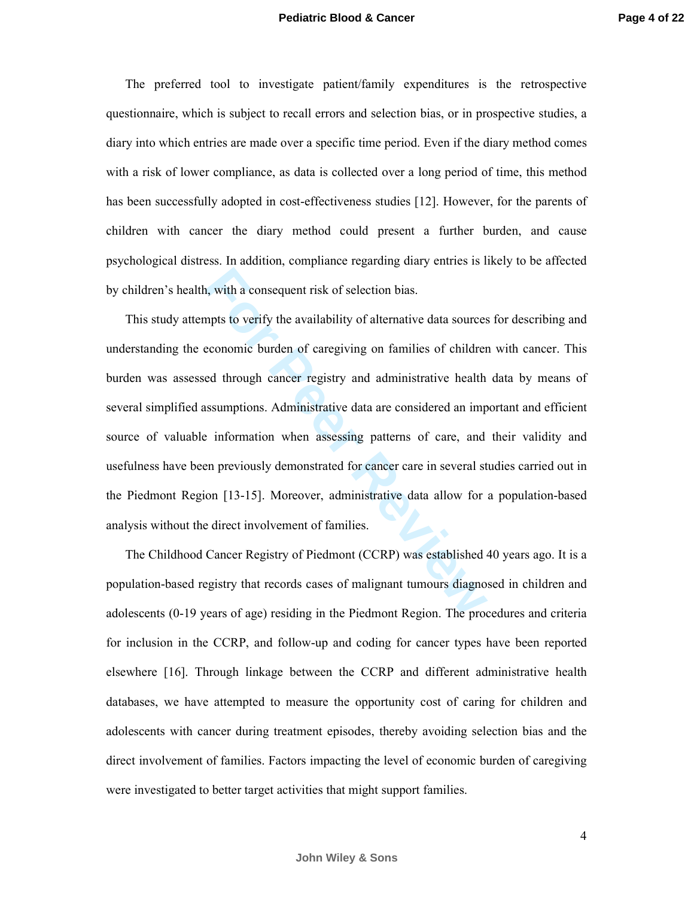The preferred tool to investigate patient/family expenditures is the retrospective questionnaire, which is subject to recall errors and selection bias, or in prospective studies, a diary into which entries are made over a specific time period. Even if the diary method comes with a risk of lower compliance, as data is collected over a long period of time, this method has been successfully adopted in cost-effectiveness studies [12]. However, for the parents of children with cancer the diary method could present a further burden, and cause psychological distress. In addition, compliance regarding diary entries is likely to be affected by children's health, with a consequent risk of selection bias.

1, with a consequent risk of selection bias.<br> **Formular in the Example 1** weight to verify the availability of alternative data sources<br>
reconomic burden of caregiving on families of childrer<br>
red through cancer registry a This study attempts to verify the availability of alternative data sources for describing and understanding the economic burden of caregiving on families of children with cancer. This burden was assessed through cancer registry and administrative health data by means of several simplified assumptions. Administrative data are considered an important and efficient source of valuable information when assessing patterns of care, and their validity and usefulness have been previously demonstrated for cancer care in several studies carried out in the Piedmont Region [13-15]. Moreover, administrative data allow for a population-based analysis without the direct involvement of families.

The Childhood Cancer Registry of Piedmont (CCRP) was established 40 years ago. It is a population-based registry that records cases of malignant tumours diagnosed in children and adolescents (0-19 years of age) residing in the Piedmont Region. The procedures and criteria for inclusion in the CCRP, and follow-up and coding for cancer types have been reported elsewhere [16]. Through linkage between the CCRP and different administrative health databases, we have attempted to measure the opportunity cost of caring for children and adolescents with cancer during treatment episodes, thereby avoiding selection bias and the direct involvement of families. Factors impacting the level of economic burden of caregiving were investigated to better target activities that might support families.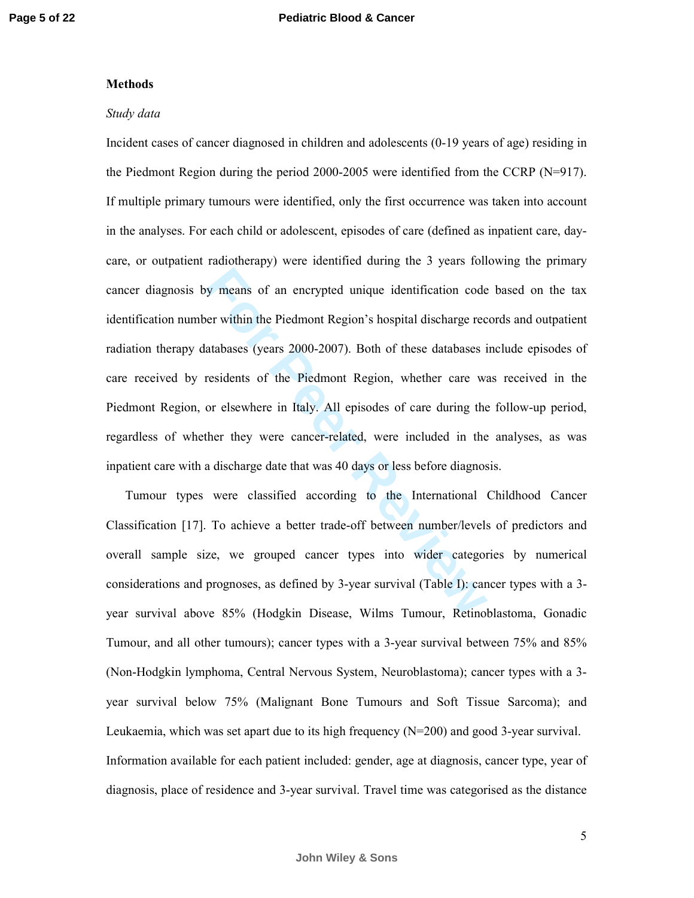#### **Methods**

#### *Study data*

For The Piedmont Region's hospital discharge rection and the Piedmont Region's hospital discharge rections atabases (years 2000-2007). Both of these databases is residents of the Piedmont Region, whether care way or elsewh Incident cases of cancer diagnosed in children and adolescents (0-19 years of age) residing in the Piedmont Region during the period 2000-2005 were identified from the CCRP (N=917). If multiple primary tumours were identified, only the first occurrence was taken into account in the analyses. For each child or adolescent, episodes of care (defined as inpatient care, daycare, or outpatient radiotherapy) were identified during the 3 years following the primary cancer diagnosis by means of an encrypted unique identification code based on the tax identification number within the Piedmont Region's hospital discharge records and outpatient radiation therapy databases (years 2000-2007). Both of these databases include episodes of care received by residents of the Piedmont Region, whether care was received in the Piedmont Region, or elsewhere in Italy. All episodes of care during the follow-up period, regardless of whether they were cancer-related, were included in the analyses, as was inpatient care with a discharge date that was 40 days or less before diagnosis.

Tumour types were classified according to the International Childhood Cancer Classification [17]. To achieve a better trade-off between number/levels of predictors and overall sample size, we grouped cancer types into wider categories by numerical considerations and prognoses, as defined by 3-year survival (Table I): cancer types with a 3 year survival above 85% (Hodgkin Disease, Wilms Tumour, Retinoblastoma, Gonadic Tumour, and all other tumours); cancer types with a 3-year survival between 75% and 85% (Non-Hodgkin lymphoma, Central Nervous System, Neuroblastoma); cancer types with a 3 year survival below 75% (Malignant Bone Tumours and Soft Tissue Sarcoma); and Leukaemia, which was set apart due to its high frequency  $(N=200)$  and good 3-year survival. Information available for each patient included: gender, age at diagnosis, cancer type, year of diagnosis, place of residence and 3-year survival. Travel time was categorised as the distance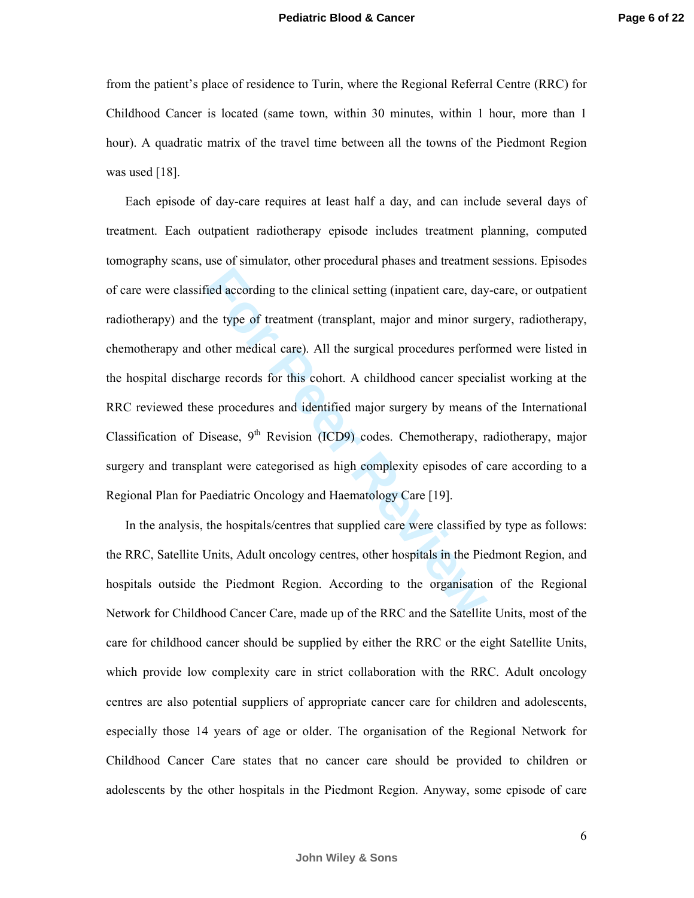from the patient's place of residence to Turin, where the Regional Referral Centre (RRC) for Childhood Cancer is located (same town, within 30 minutes, within 1 hour, more than 1 hour). A quadratic matrix of the travel time between all the towns of the Piedmont Region was used [18].

The distance of the clinical setting (inpatient care, day<br>the type of treatment (transplant, major and minor sure other medical care). All the surgical procedures perfor-<br>rge records for this cohort. A childhood cancer spe Each episode of day-care requires at least half a day, and can include several days of treatment. Each outpatient radiotherapy episode includes treatment planning, computed tomography scans, use of simulator, other procedural phases and treatment sessions. Episodes of care were classified according to the clinical setting (inpatient care, day-care, or outpatient radiotherapy) and the type of treatment (transplant, major and minor surgery, radiotherapy, chemotherapy and other medical care). All the surgical procedures performed were listed in the hospital discharge records for this cohort. A childhood cancer specialist working at the RRC reviewed these procedures and identified major surgery by means of the International Classification of Disease,  $9<sup>th</sup>$  Revision (ICD9) codes. Chemotherapy, radiotherapy, major surgery and transplant were categorised as high complexity episodes of care according to a Regional Plan for Paediatric Oncology and Haematology Care [19].

In the analysis, the hospitals/centres that supplied care were classified by type as follows: the RRC, Satellite Units, Adult oncology centres, other hospitals in the Piedmont Region, and hospitals outside the Piedmont Region. According to the organisation of the Regional Network for Childhood Cancer Care, made up of the RRC and the Satellite Units, most of the care for childhood cancer should be supplied by either the RRC or the eight Satellite Units, which provide low complexity care in strict collaboration with the RRC. Adult oncology centres are also potential suppliers of appropriate cancer care for children and adolescents, especially those 14 years of age or older. The organisation of the Regional Network for Childhood Cancer Care states that no cancer care should be provided to children or adolescents by the other hospitals in the Piedmont Region. Anyway, some episode of care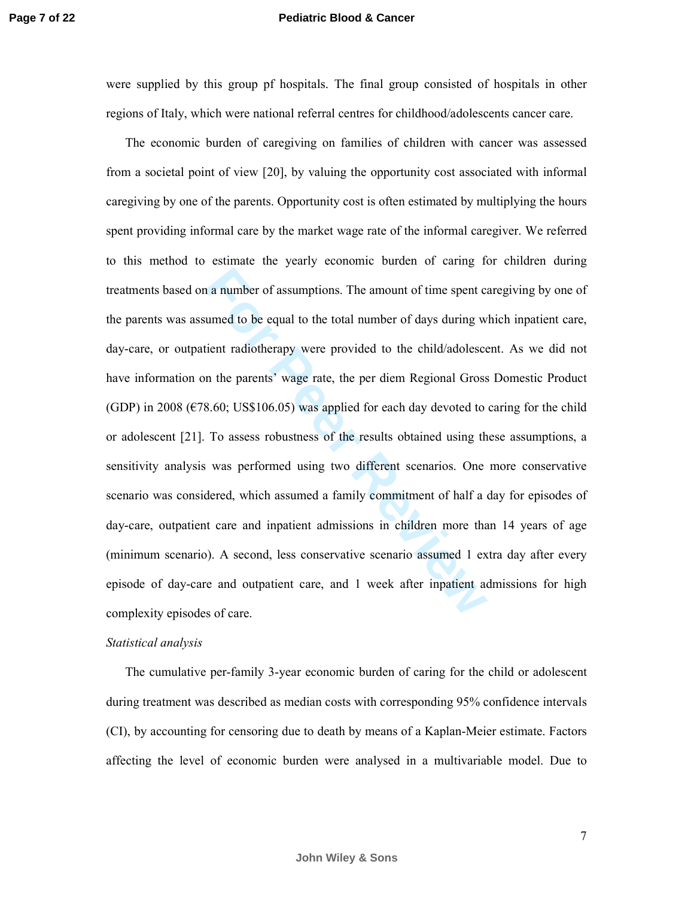#### **Pediatric Blood & Cancer**

were supplied by this group pf hospitals. The final group consisted of hospitals in other regions of Italy, which were national referral centres for childhood/adolescents cancer care.

a number of assumptions. The amount of time spent cannot and to be equal to the total number of days during weitent radiotherapy were provided to the child/adolesce in the parents' wage rate, the per diem Regional Gross 8. The economic burden of caregiving on families of children with cancer was assessed from a societal point of view [20], by valuing the opportunity cost associated with informal caregiving by one of the parents. Opportunity cost is often estimated by multiplying the hours spent providing informal care by the market wage rate of the informal caregiver. We referred to this method to estimate the yearly economic burden of caring for children during treatments based on a number of assumptions. The amount of time spent caregiving by one of the parents was assumed to be equal to the total number of days during which inpatient care, day-care, or outpatient radiotherapy were provided to the child/adolescent. As we did not have information on the parents' wage rate, the per diem Regional Gross Domestic Product (GDP) in 2008 ( $\epsilon$ 78.60; US\$106.05) was applied for each day devoted to caring for the child or adolescent [21]. To assess robustness of the results obtained using these assumptions, a sensitivity analysis was performed using two different scenarios. One more conservative scenario was considered, which assumed a family commitment of half a day for episodes of day-care, outpatient care and inpatient admissions in children more than 14 years of age (minimum scenario). A second, less conservative scenario assumed 1 extra day after every episode of day-care and outpatient care, and 1 week after inpatient admissions for high complexity episodes of care.

#### *Statistical analysis*

The cumulative per-family 3-year economic burden of caring for the child or adolescent during treatment was described as median costs with corresponding 95% confidence intervals (CI), by accounting for censoring due to death by means of a Kaplan-Meier estimate. Factors affecting the level of economic burden were analysed in a multivariable model. Due to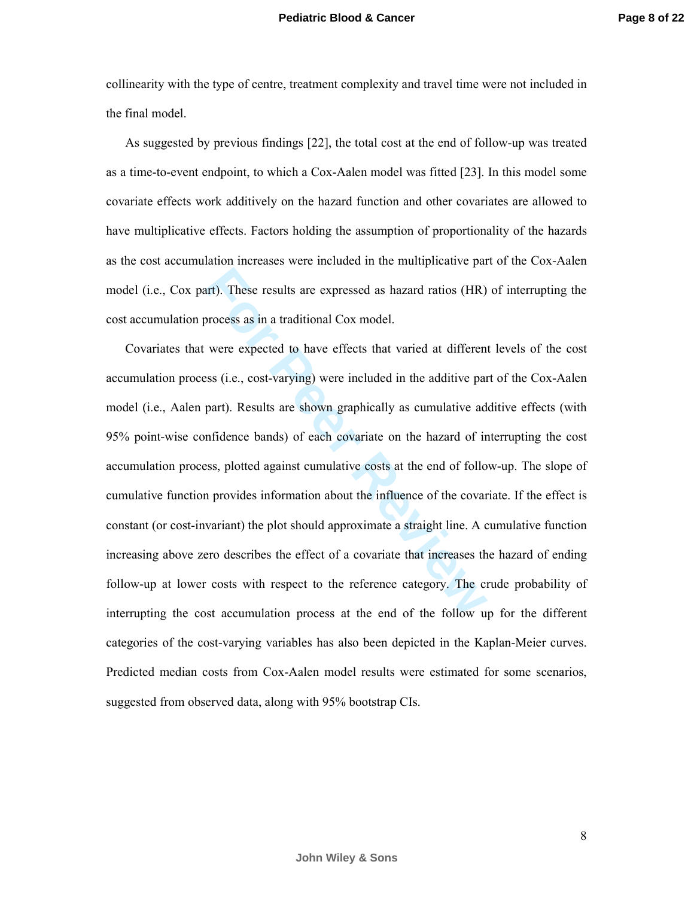collinearity with the type of centre, treatment complexity and travel time were not included in the final model.

As suggested by previous findings [22], the total cost at the end of follow-up was treated as a time-to-event endpoint, to which a Cox-Aalen model was fitted [23]. In this model some covariate effects work additively on the hazard function and other covariates are allowed to have multiplicative effects. Factors holding the assumption of proportionality of the hazards as the cost accumulation increases were included in the multiplicative part of the Cox-Aalen model (i.e., Cox part). These results are expressed as hazard ratios (HR) of interrupting the cost accumulation process as in a traditional Cox model.

att). These results are expressed as hazard ratios (HR)<br>process as in a traditional Cox model.<br>were expected to have effects that varied at different<br>exs (i.e., cost-varying) were included in the additive par<br>part). Result Covariates that were expected to have effects that varied at different levels of the cost accumulation process (i.e., cost-varying) were included in the additive part of the Cox-Aalen model (i.e., Aalen part). Results are shown graphically as cumulative additive effects (with 95% point-wise confidence bands) of each covariate on the hazard of interrupting the cost accumulation process, plotted against cumulative costs at the end of follow-up. The slope of cumulative function provides information about the influence of the covariate. If the effect is constant (or cost-invariant) the plot should approximate a straight line. A cumulative function increasing above zero describes the effect of a covariate that increases the hazard of ending follow-up at lower costs with respect to the reference category. The crude probability of interrupting the cost accumulation process at the end of the follow up for the different categories of the cost-varying variables has also been depicted in the Kaplan-Meier curves. Predicted median costs from Cox-Aalen model results were estimated for some scenarios, suggested from observed data, along with 95% bootstrap CIs.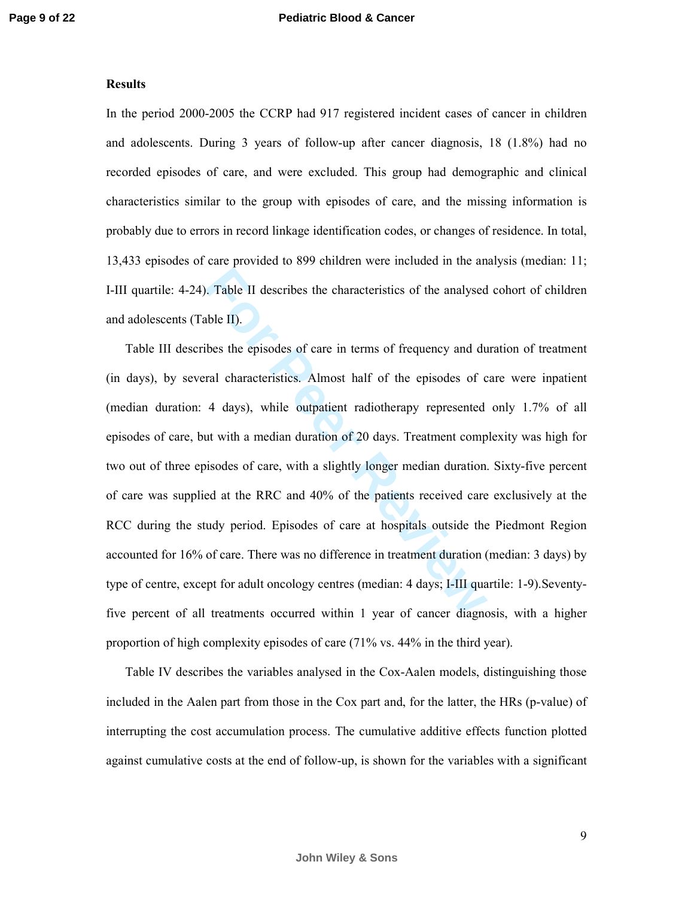#### **Results**

In the period 2000-2005 the CCRP had 917 registered incident cases of cancer in children and adolescents. During 3 years of follow-up after cancer diagnosis, 18 (1.8%) had no recorded episodes of care, and were excluded. This group had demographic and clinical characteristics similar to the group with episodes of care, and the missing information is probably due to errors in record linkage identification codes, or changes of residence. In total, 13,433 episodes of care provided to 899 children were included in the analysis (median: 11; I-III quartile: 4-24). Table II describes the characteristics of the analysed cohort of children and adolescents (Table II).

For Table II describes the characteristics of the analysed<br>able II).<br>These the episodes of care in terms of frequency and du<br>ral characteristics. Almost half of the episodes of c<br>4 days), while outpatient radiotherapy repr Table III describes the episodes of care in terms of frequency and duration of treatment (in days), by several characteristics. Almost half of the episodes of care were inpatient (median duration: 4 days), while outpatient radiotherapy represented only 1.7% of all episodes of care, but with a median duration of 20 days. Treatment complexity was high for two out of three episodes of care, with a slightly longer median duration. Sixty-five percent of care was supplied at the RRC and 40% of the patients received care exclusively at the RCC during the study period. Episodes of care at hospitals outside the Piedmont Region accounted for 16% of care. There was no difference in treatment duration (median: 3 days) by type of centre, except for adult oncology centres (median: 4 days; I-III quartile: 1-9).Seventyfive percent of all treatments occurred within 1 year of cancer diagnosis, with a higher proportion of high complexity episodes of care (71% vs. 44% in the third year).

Table IV describes the variables analysed in the Cox-Aalen models, distinguishing those included in the Aalen part from those in the Cox part and, for the latter, the HRs (p-value) of interrupting the cost accumulation process. The cumulative additive effects function plotted against cumulative costs at the end of follow-up, is shown for the variables with a significant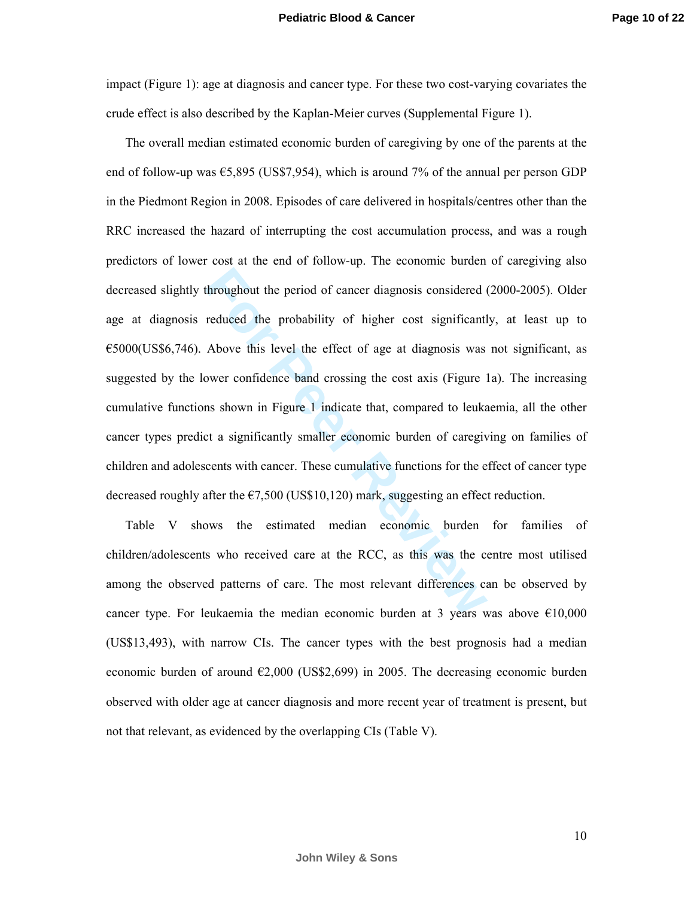impact (Figure 1): age at diagnosis and cancer type. For these two cost-varying covariates the crude effect is also described by the Kaplan-Meier curves (Supplemental Figure 1).

throughout the period of cancer diagnosis considered (<br>reduced the probability of higher cost significant<br>Above this level the effect of age at diagnosis was<br>ower confidence band crossing the cost axis (Figure 1<br>as shown i The overall median estimated economic burden of caregiving by one of the parents at the end of follow-up was  $\epsilon$ 5,895 (US\$7,954), which is around 7% of the annual per person GDP in the Piedmont Region in 2008. Episodes of care delivered in hospitals/centres other than the RRC increased the hazard of interrupting the cost accumulation process, and was a rough predictors of lower cost at the end of follow-up. The economic burden of caregiving also decreased slightly throughout the period of cancer diagnosis considered (2000-2005). Older age at diagnosis reduced the probability of higher cost significantly, at least up to  $€5000(US$6,746)$ . Above this level the effect of age at diagnosis was not significant, as suggested by the lower confidence band crossing the cost axis (Figure 1a). The increasing cumulative functions shown in Figure 1 indicate that, compared to leukaemia, all the other cancer types predict a significantly smaller economic burden of caregiving on families of children and adolescents with cancer. These cumulative functions for the effect of cancer type decreased roughly after the  $\epsilon$ 7,500 (US\$10,120) mark, suggesting an effect reduction.

Table V shows the estimated median economic burden for families of children/adolescents who received care at the RCC, as this was the centre most utilised among the observed patterns of care. The most relevant differences can be observed by cancer type. For leukaemia the median economic burden at 3 years was above  $\epsilon$ 10,000 (US\$13,493), with narrow CIs. The cancer types with the best prognosis had a median economic burden of around  $\epsilon$ 2,000 (US\$2,699) in 2005. The decreasing economic burden observed with older age at cancer diagnosis and more recent year of treatment is present, but not that relevant, as evidenced by the overlapping CIs (Table V).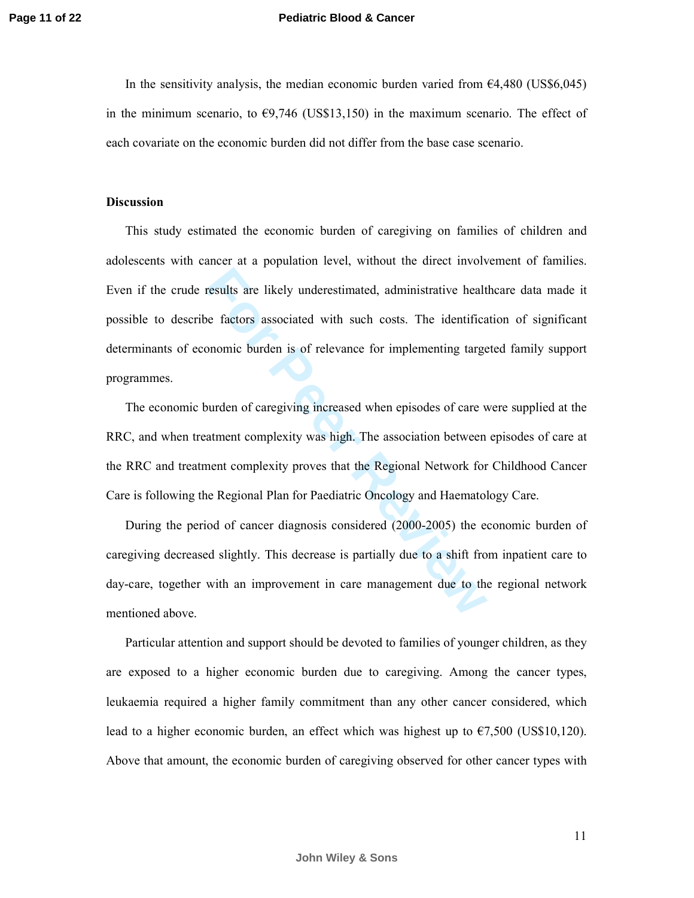#### **Pediatric Blood & Cancer**

In the sensitivity analysis, the median economic burden varied from  $64,480$  (US\$6,045) in the minimum scenario, to  $\epsilon$ 9,746 (US\$13,150) in the maximum scenario. The effect of each covariate on the economic burden did not differ from the base case scenario.

## **Discussion**

Fraction and the set of the set of the set of the set of the set of the set of the set of the set of the set of the set of the set of the set of the set of the set of the set of the set of the set of the set of the set of This study estimated the economic burden of caregiving on families of children and adolescents with cancer at a population level, without the direct involvement of families. Even if the crude results are likely underestimated, administrative healthcare data made it possible to describe factors associated with such costs. The identification of significant determinants of economic burden is of relevance for implementing targeted family support programmes.

The economic burden of caregiving increased when episodes of care were supplied at the RRC, and when treatment complexity was high. The association between episodes of care at the RRC and treatment complexity proves that the Regional Network for Childhood Cancer Care is following the Regional Plan for Paediatric Oncology and Haematology Care.

During the period of cancer diagnosis considered (2000-2005) the economic burden of caregiving decreased slightly. This decrease is partially due to a shift from inpatient care to day-care, together with an improvement in care management due to the regional network mentioned above.

Particular attention and support should be devoted to families of younger children, as they are exposed to a higher economic burden due to caregiving. Among the cancer types, leukaemia required a higher family commitment than any other cancer considered, which lead to a higher economic burden, an effect which was highest up to  $\epsilon$ 7,500 (US\$10,120). Above that amount, the economic burden of caregiving observed for other cancer types with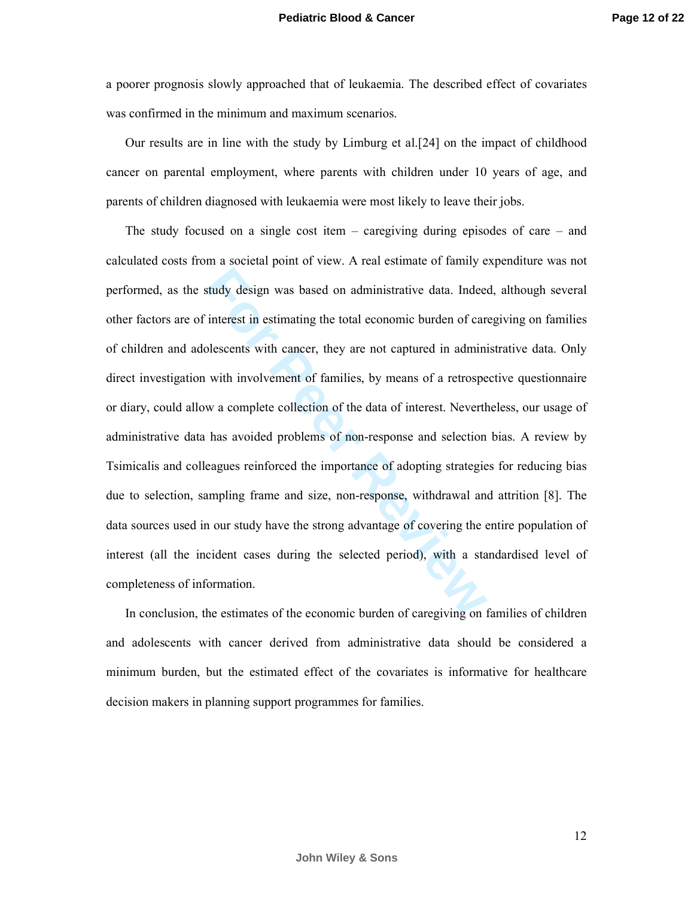a poorer prognosis slowly approached that of leukaemia. The described effect of covariates was confirmed in the minimum and maximum scenarios.

Our results are in line with the study by Limburg et al.[24] on the impact of childhood cancer on parental employment, where parents with children under 10 years of age, and parents of children diagnosed with leukaemia were most likely to leave their jobs.

study design was based on administrative data. Indeed<br>
interest in estimating the total economic burden of cancelescents with cancer, they are not captured in admini<br>
with involvement of families, by means of a retrospe<br>
w The study focused on a single cost item – caregiving during episodes of care – and calculated costs from a societal point of view. A real estimate of family expenditure was not performed, as the study design was based on administrative data. Indeed, although several other factors are of interest in estimating the total economic burden of caregiving on families of children and adolescents with cancer, they are not captured in administrative data. Only direct investigation with involvement of families, by means of a retrospective questionnaire or diary, could allow a complete collection of the data of interest. Nevertheless, our usage of administrative data has avoided problems of non-response and selection bias. A review by Tsimicalis and colleagues reinforced the importance of adopting strategies for reducing bias due to selection, sampling frame and size, non-response, withdrawal and attrition [8]. The data sources used in our study have the strong advantage of covering the entire population of interest (all the incident cases during the selected period), with a standardised level of completeness of information.

In conclusion, the estimates of the economic burden of caregiving on families of children and adolescents with cancer derived from administrative data should be considered a minimum burden, but the estimated effect of the covariates is informative for healthcare decision makers in planning support programmes for families.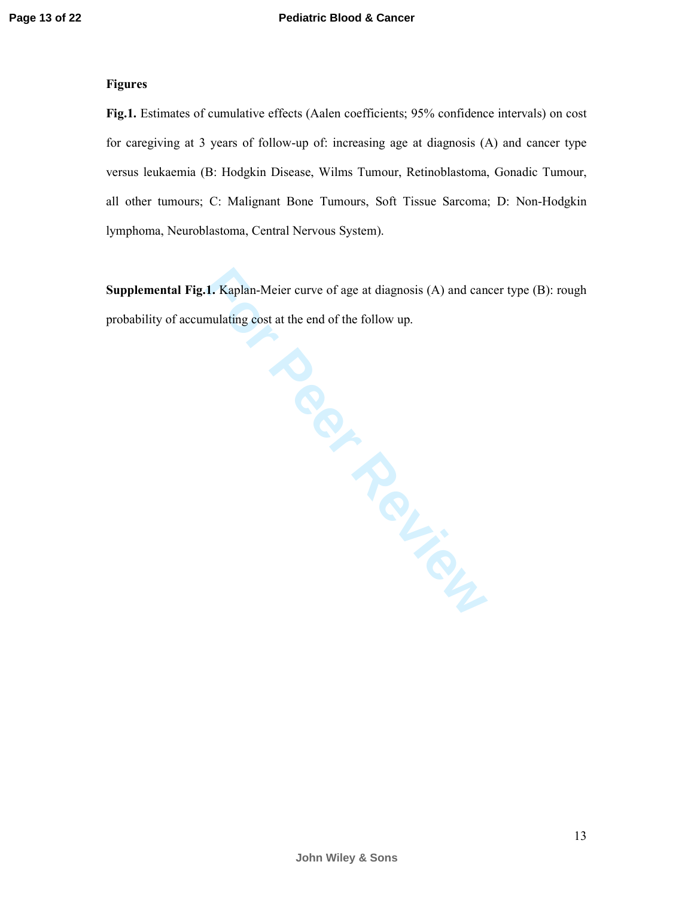## **Figures**

**Fig.1.** Estimates of cumulative effects (Aalen coefficients; 95% confidence intervals) on cost for caregiving at 3 years of follow-up of: increasing age at diagnosis (A) and cancer type versus leukaemia (B: Hodgkin Disease, Wilms Tumour, Retinoblastoma, Gonadic Tumour, all other tumours; C: Malignant Bone Tumours, Soft Tissue Sarcoma; D: Non-Hodgkin lymphoma, Neuroblastoma, Central Nervous System).

**For the end of the COLLAND COLLAND COLLAND COLLAND Supplemental Fig.1.** Kaplan-Meier curve of age at diagnosis (A) and cancer type (B): rough probability of accumulating cost at the end of the follow up.

**John Wiley & Sons**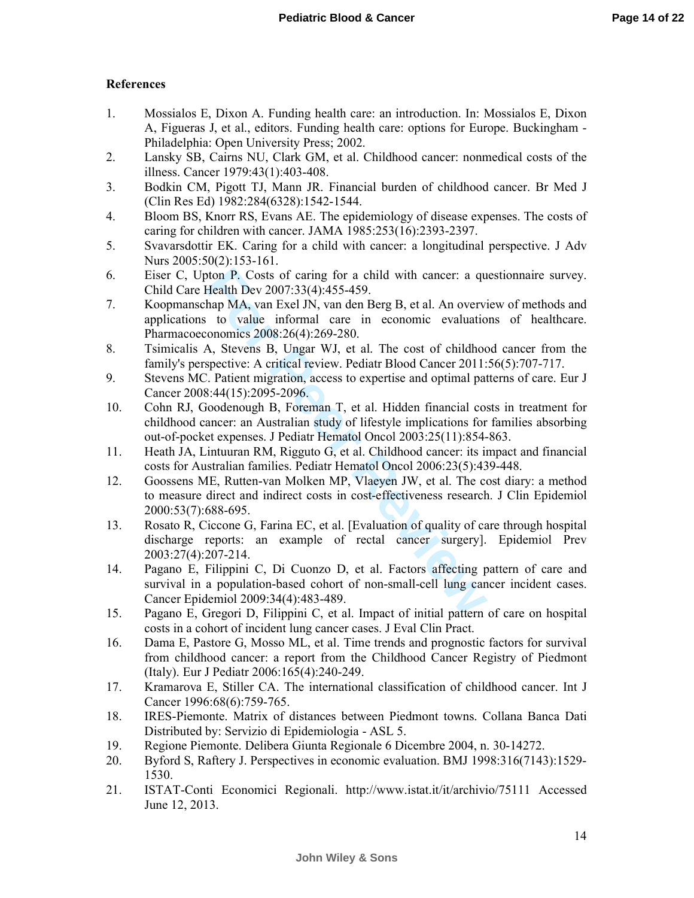# **References**

- 1. Mossialos E, Dixon A. Funding health care: an introduction. In: Mossialos E, Dixon A, Figueras J, et al., editors. Funding health care: options for Europe. Buckingham - Philadelphia: Open University Press; 2002.
- 2. Lansky SB, Cairns NU, Clark GM, et al. Childhood cancer: nonmedical costs of the illness. Cancer 1979:43(1):403-408.
- 3. Bodkin CM, Pigott TJ, Mann JR. Financial burden of childhood cancer. Br Med J (Clin Res Ed) 1982:284(6328):1542-1544.
- 4. Bloom BS, Knorr RS, Evans AE. The epidemiology of disease expenses. The costs of caring for children with cancer. JAMA 1985:253(16):2393-2397.
- 5. Svavarsdottir EK. Caring for a child with cancer: a longitudinal perspective. J Adv Nurs 2005:50(2):153-161.
- 6. Eiser C, Upton P. Costs of caring for a child with cancer: a questionnaire survey. Child Care Health Dev 2007:33(4):455-459.
- 7. Koopmanschap MA, van Exel JN, van den Berg B, et al. An overview of methods and applications to value informal care in economic evaluations of healthcare. Pharmacoeconomics 2008:26(4):269-280.
- 8. Tsimicalis A, Stevens B, Ungar WJ, et al. The cost of childhood cancer from the family's perspective: A critical review. Pediatr Blood Cancer 2011:56(5):707-717.
- 9. Stevens MC. Patient migration, access to expertise and optimal patterns of care. Eur J Cancer 2008:44(15):2095-2096.
- 10. Cohn RJ, Goodenough B, Foreman T, et al. Hidden financial costs in treatment for childhood cancer: an Australian study of lifestyle implications for families absorbing out-of-pocket expenses. J Pediatr Hematol Oncol 2003:25(11):854-863.
- 11. Heath JA, Lintuuran RM, Rigguto G, et al. Childhood cancer: its impact and financial costs for Australian families. Pediatr Hematol Oncol 2006:23(5):439-448.
- 1000 P. Costs of caring for a child with cancer: a quellealth Dev 2007:33(4):455-459.<br>
Health Dev 2007:33(4):455-459.<br>
It hap MA, van Exel JN, van den Berg B, et al. An overvi<br>
to value informal care in economic evaluatio<br> 12. Goossens ME, Rutten-van Molken MP, Vlaeyen JW, et al. The cost diary: a method to measure direct and indirect costs in cost-effectiveness research. J Clin Epidemiol 2000:53(7):688-695.
- 13. Rosato R, Ciccone G, Farina EC, et al. [Evaluation of quality of care through hospital discharge reports: an example of rectal cancer surgery]. Epidemiol Prev 2003:27(4):207-214.
- 14. Pagano E, Filippini C, Di Cuonzo D, et al. Factors affecting pattern of care and survival in a population-based cohort of non-small-cell lung cancer incident cases. Cancer Epidemiol 2009:34(4):483-489.
- 15. Pagano E, Gregori D, Filippini C, et al. Impact of initial pattern of care on hospital costs in a cohort of incident lung cancer cases. J Eval Clin Pract.
- 16. Dama E, Pastore G, Mosso ML, et al. Time trends and prognostic factors for survival from childhood cancer: a report from the Childhood Cancer Registry of Piedmont (Italy). Eur J Pediatr 2006:165(4):240-249.
- 17. Kramarova E, Stiller CA. The international classification of childhood cancer. Int J Cancer 1996:68(6):759-765.
- 18. IRES-Piemonte. Matrix of distances between Piedmont towns. Collana Banca Dati Distributed by: Servizio di Epidemiologia - ASL 5.
- 19. Regione Piemonte. Delibera Giunta Regionale 6 Dicembre 2004, n. 30-14272.
- 20. Byford S, Raftery J. Perspectives in economic evaluation. BMJ 1998:316(7143):1529- 1530.
- 21. ISTAT-Conti Economici Regionali. http://www.istat.it/it/archivio/75111 Accessed June 12, 2013.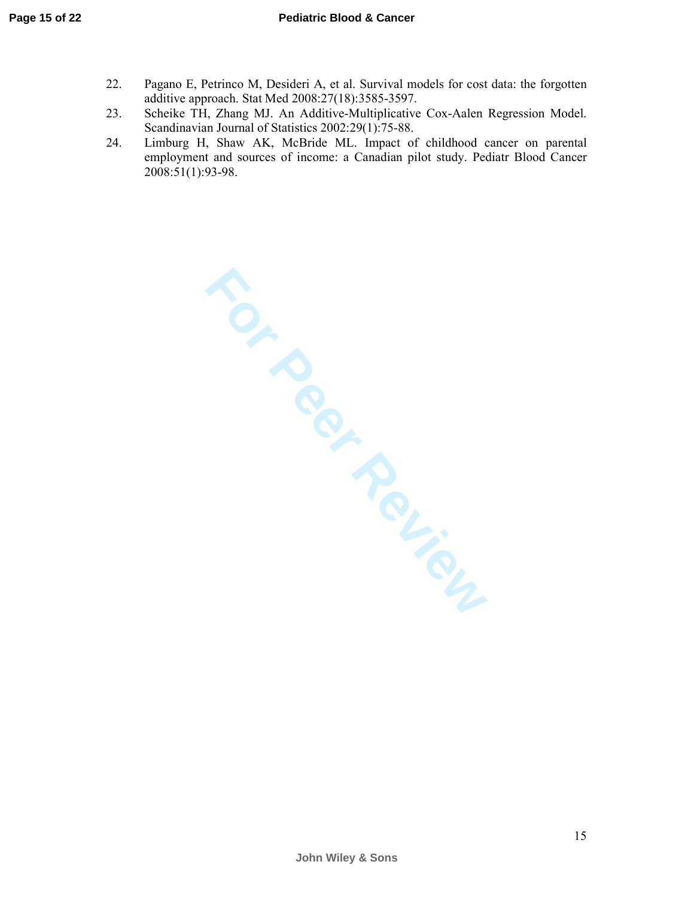- 22. Pagano E, Petrinco M, Desideri A, et al. Survival models for cost data: the forgotten additive approach. Stat Med 2008:27(18):3585-3597.
- 23. Scheike TH, Zhang MJ. An Additive-Multiplicative Cox-Aalen Regression Model. Scandinavian Journal of Statistics 2002:29(1):75-88.
- 24. Limburg H, Shaw AK, McBride ML. Impact of childhood cancer on parental employment and sources of income: a Canadian pilot study. Pediatr Blood Cancer 2008:51(1):93-98.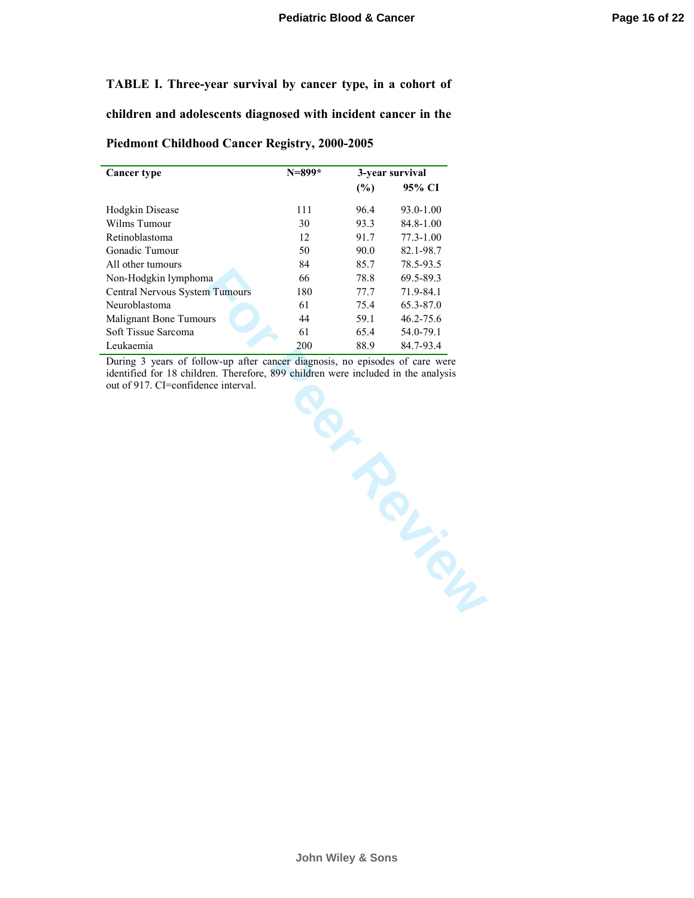## **TABLE I. Three-year survival by cancer type, in a cohort of**

**children and adolescents diagnosed with incident cancer in the**

## **Piedmont Childhood Cancer Registry, 2000-2005**

| <b>Cancer type</b>                    | $N = 899*$ |      | 3-year survival |
|---------------------------------------|------------|------|-----------------|
|                                       |            | (%)  | 95% CI          |
| Hodgkin Disease                       | 111        | 96.4 | 93.0-1.00       |
| Wilms Tumour                          | 30         | 93.3 | $84.8 - 1.00$   |
| Retinoblastoma                        | 12         | 91.7 | $77.3 - 1.00$   |
| Gonadic Tumour                        | 50         | 90.0 | 82.1-98.7       |
| All other tumours                     | 84         | 85.7 | 78.5-93.5       |
| Non-Hodgkin lymphoma                  | 66         | 78.8 | 69.5-89.3       |
| <b>Central Nervous System Tumours</b> | 180        | 77.7 | 71.9-84.1       |
| Neuroblastoma                         | 61         | 75.4 | 65.3-87.0       |
| <b>Malignant Bone Tumours</b>         | 44         | 59.1 | $46.2 - 75.6$   |
| Soft Tissue Sarcoma                   | 61         | 65.4 | 54.0-79.1       |
| Leukaemia                             | 200        | 88.9 | 84.7-93.4       |

During 3 years of follow-up after cancer diagnosis, no episodes of care were identified for 18 children. Therefore, 899 children were included in the analysis out of 917. CI=confidence interval.

**John Wiley & Sons**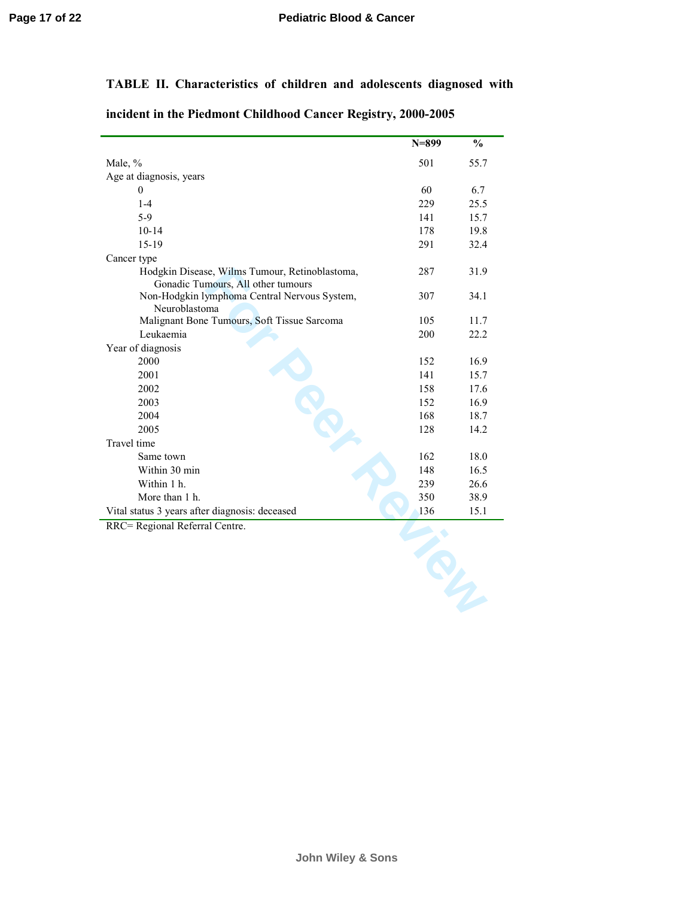# **TABLE II. Characteristics of children and adolescents diagnosed with**

| incident in the Piedmont Childhood Cancer Registry, 2000-2005 |  |  |
|---------------------------------------------------------------|--|--|
|---------------------------------------------------------------|--|--|

|                                                                                      | $N = 899$ | $\frac{0}{0}$ |
|--------------------------------------------------------------------------------------|-----------|---------------|
| Male, %                                                                              | 501       | 55.7          |
| Age at diagnosis, years                                                              |           |               |
| $\theta$                                                                             | 60        | 6.7           |
| $1-4$                                                                                | 229       | 25.5          |
| $5-9$                                                                                | 141       | 15.7          |
| $10 - 14$                                                                            | 178       | 19.8          |
| $15-19$                                                                              | 291       | 32.4          |
| Cancer type                                                                          |           |               |
| Hodgkin Disease, Wilms Tumour, Retinoblastoma,<br>Gonadic Tumours, All other tumours | 287       | 31.9          |
| Non-Hodgkin lymphoma Central Nervous System,<br>Neuroblastoma                        | 307       | 34.1          |
| Malignant Bone Tumours, Soft Tissue Sarcoma                                          | 105       | 11.7          |
| Leukaemia                                                                            | 200       | 22.2          |
| Year of diagnosis                                                                    |           |               |
| 2000                                                                                 | 152       | 16.9          |
| 2001                                                                                 | 141       | 15.7          |
| 2002                                                                                 | 158       | 17.6          |
| 2003                                                                                 | 152       | 16.9          |
| 2004                                                                                 | 168       | 18.7          |
| 2005                                                                                 | 128       | 14.2          |
| Travel time                                                                          |           |               |
| Same town                                                                            | 162       | 18.0          |
| Within 30 min                                                                        | 148       | 16.5          |
| Within 1 h.                                                                          | 239       | 26.6          |
| More than 1 h.                                                                       | 350       | 38.9          |
| Vital status 3 years after diagnosis: deceased                                       | 136       | 15.1          |
| RRC= Regional Referral Centre.                                                       |           |               |
|                                                                                      |           |               |
|                                                                                      |           |               |
|                                                                                      |           |               |
|                                                                                      |           |               |
|                                                                                      |           |               |
|                                                                                      |           |               |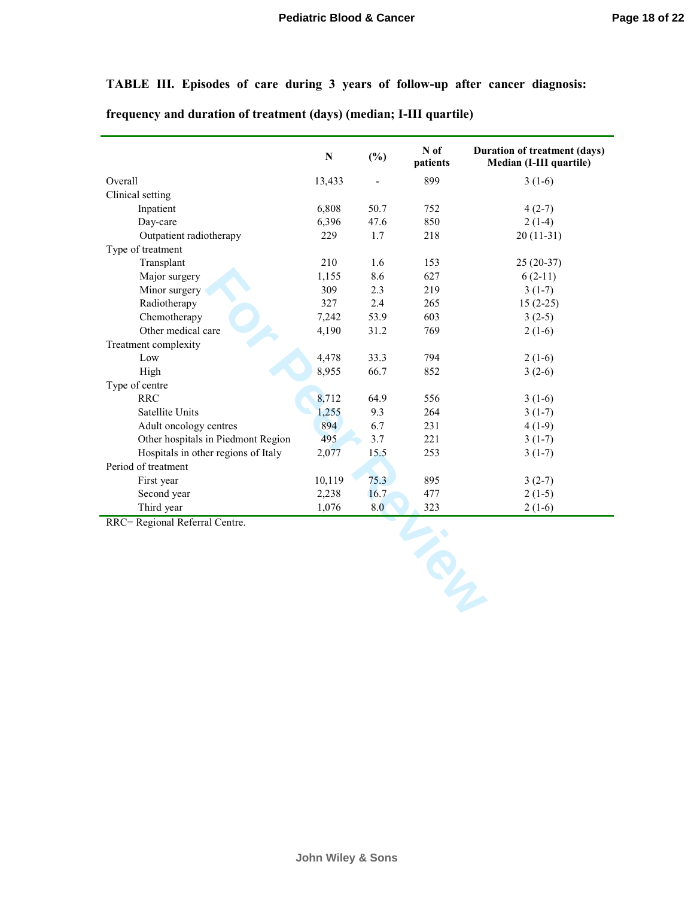**TABLE III. Episodes of care during 3 years of follow-up after cancer diagnosis:** 

**frequency and duration of treatment (days) (median; I-III quartile)** 

|                                     | ${\bf N}$ | (%)  | N of<br>patients | <b>Duration of treatment (days)</b><br>Median (I-III quartile) |
|-------------------------------------|-----------|------|------------------|----------------------------------------------------------------|
| Overall                             | 13,433    |      | 899              | $3(1-6)$                                                       |
| Clinical setting                    |           |      |                  |                                                                |
| Inpatient                           | 6,808     | 50.7 | 752              | $4(2-7)$                                                       |
| Day-care                            | 6,396     | 47.6 | 850              | $2(1-4)$                                                       |
| Outpatient radiotherapy             | 229       | 1.7  | 218              | $20(11-31)$                                                    |
| Type of treatment                   |           |      |                  |                                                                |
| Transplant                          | 210       | 1.6  | 153              | $25(20-37)$                                                    |
| Major surgery                       | 1,155     | 8.6  | 627              | $6(2-11)$                                                      |
| Minor surgery                       | 309       | 2.3  | 219              | $3(1-7)$                                                       |
| Radiotherapy                        | 327       | 2.4  | 265              | $15(2-25)$                                                     |
| Chemotherapy                        | 7,242     | 53.9 | 603              | $3(2-5)$                                                       |
| Other medical care                  | 4,190     | 31.2 | 769              | $2(1-6)$                                                       |
| Treatment complexity                |           |      |                  |                                                                |
| Low                                 | 4,478     | 33.3 | 794              | $2(1-6)$                                                       |
| High                                | 8,955     | 66.7 | 852              | $3(2-6)$                                                       |
| Type of centre                      |           |      |                  |                                                                |
| <b>RRC</b>                          | 8,712     | 64.9 | 556              | $3(1-6)$                                                       |
| Satellite Units                     | 1,255     | 9.3  | 264              | $3(1-7)$                                                       |
| Adult oncology centres              | 894       | 6.7  | 231              | $4(1-9)$                                                       |
| Other hospitals in Piedmont Region  | 495       | 3.7  | 221              | $3(1-7)$                                                       |
| Hospitals in other regions of Italy | 2,077     | 15.5 | 253              | $3(1-7)$                                                       |
| Period of treatment                 |           |      |                  |                                                                |
| First year                          | 10,119    | 75.3 | 895              | $3(2-7)$                                                       |
| Second year                         | 2,238     | 16.7 | 477              | $2(1-5)$                                                       |
| Third year                          | 1,076     | 8.0  | 323              | $2(1-6)$                                                       |
| RRC= Regional Referral Centre.      |           |      |                  |                                                                |
|                                     |           |      |                  |                                                                |
|                                     |           |      | <b>SULLE</b>     |                                                                |
|                                     |           |      |                  |                                                                |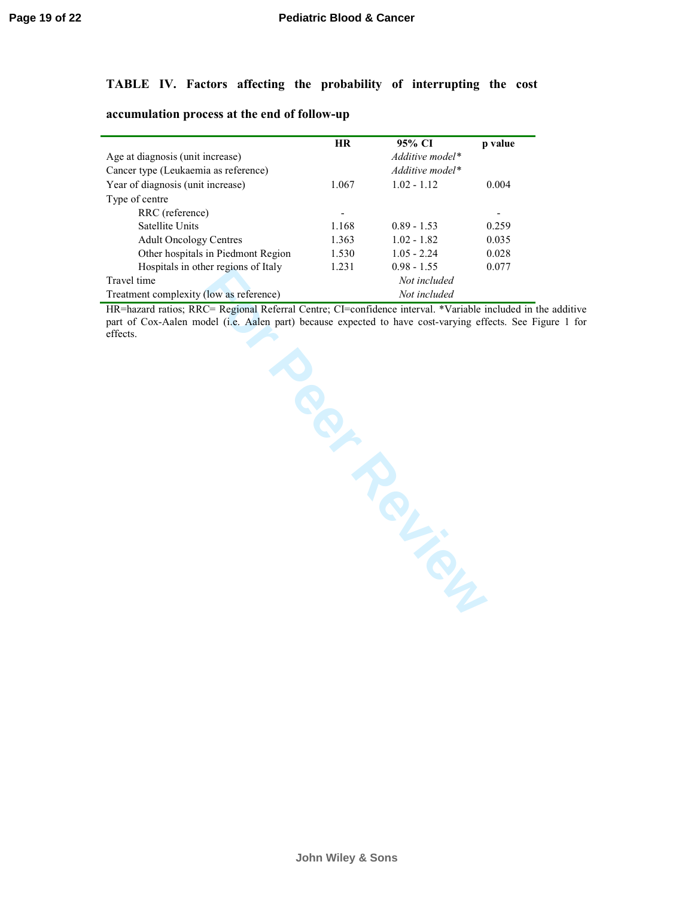## **TABLE IV. Factors affecting the probability of interrupting the cost**

| accumulation process at the end of follow-up |  |  |  |  |  |
|----------------------------------------------|--|--|--|--|--|
|----------------------------------------------|--|--|--|--|--|

|                                         | <b>HR</b> | 95% CI          | p value |
|-----------------------------------------|-----------|-----------------|---------|
| Age at diagnosis (unit increase)        |           | Additive model* |         |
| Cancer type (Leukaemia as reference)    |           | Additive model* |         |
| Year of diagnosis (unit increase)       | 1.067     | $1.02 - 1.12$   | 0.004   |
| Type of centre                          |           |                 |         |
| RRC (reference)                         |           |                 |         |
| Satellite Units                         | 1.168     | $0.89 - 1.53$   | 0.259   |
| <b>Adult Oncology Centres</b>           | 1.363     | $1.02 - 1.82$   | 0.035   |
| Other hospitals in Piedmont Region      | 1.530     | $1.05 - 2.24$   | 0.028   |
| Hospitals in other regions of Italy     | 1 231     | $0.98 - 1.55$   | 0.077   |
| Travel time                             |           | Not included    |         |
| Treatment complexity (low as reference) |           | Not included    |         |

Freshmas in once regions of hary<br>
Travel time<br>
Traditioner (Not included *Not included*<br> *Not included*<br> *Mariamet complexity (low as reference)*<br> *Not included*<br> *Not included*<br> *PREFERENCE Regional Referral Centre; Cl=co* HR=hazard ratios; RRC= Regional Referral Centre; CI=confidence interval. \*Variable included in the additive part of Cox-Aalen model (i.e. Aalen part) because expected to have cost-varying effects. See Figure 1 for effects.

**John Wiley & Sons**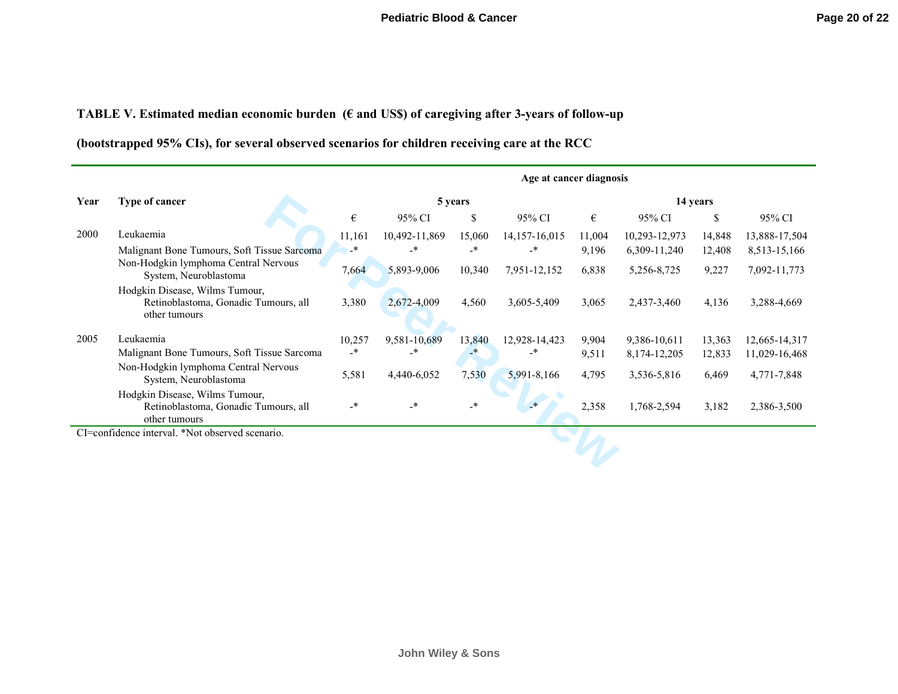**TABLE V. Estimated median economic burden (€ and US\$) of caregiving after 3-years of follow-up** 

**(bootstrapped 95% CIs), for several observed scenarios for children receiving care at the RCC** 

|      |                                                                                         | Age at cancer diagnosis |               |         |                   |        |                  |               |               |
|------|-----------------------------------------------------------------------------------------|-------------------------|---------------|---------|-------------------|--------|------------------|---------------|---------------|
| Year | <b>Type of cancer</b>                                                                   | 5 years                 |               |         | 14 years          |        |                  |               |               |
|      |                                                                                         | $\boldsymbol{\epsilon}$ | 95% CI        | \$      | 95% CI            | €      | 95% CI           | <sup>\$</sup> | 95% CI        |
| 2000 | Leukaemia                                                                               | 11,161                  | 10,492-11,869 | 15,060  | 14, 157 - 16, 015 | 11,004 | 10,293-12,973    | 14,848        | 13,888-17,504 |
|      | Malignant Bone Tumours, Soft Tissue Sarcoma                                             | –*                      | $_{\star}$    | _*      | $\cdot^*$         | 9,196  | 6,309-11,240     | 12,408        | 8,513-15,166  |
|      | Non-Hodgkin lymphoma Central Nervous<br>System, Neuroblastoma                           | 7,664                   | 5,893-9,006   | 10,340  | 7,951-12,152      | 6,838  | 5,256-8,725      | 9,227         | 7,092-11,773  |
|      | Hodgkin Disease, Wilms Tumour,<br>Retinoblastoma, Gonadic Tumours, all<br>other tumours | 3,380                   | 2,672-4,009   | 4,560   | 3,605-5,409       | 3,065  | 2,437-3,460      | 4,136         | 3,288-4,669   |
| 2005 | Leukaemia                                                                               | 10,257                  | 9,581-10,689  | 13,840  | 12,928-14,423     | 9,904  | 9,386-10,611     | 13,363        | 12,665-14,317 |
|      | Malignant Bone Tumours, Soft Tissue Sarcoma                                             | _*                      | _*            | $-$ *   | _*                | 9,511  | 8, 174 - 12, 205 | 12,833        | 11,029-16,468 |
|      | Non-Hodgkin lymphoma Central Nervous<br>System, Neuroblastoma                           | 5,581                   | 4,440-6,052   | 7,530   | 5,991-8,166       | 4,795  | 3,536-5,816      | 6,469         | 4,771-7,848   |
|      | Hodgkin Disease, Wilms Tumour,<br>Retinoblastoma, Gonadic Tumours, all<br>other tumours | $\cdot^*$               | $\cdot$       | $\cdot$ | $\rightarrow$     | 2,358  | 1,768-2,594      | 3,182         | 2,386-3,500   |
|      | CI=confidence interval. *Not observed scenario.                                         |                         |               |         |                   |        |                  |               |               |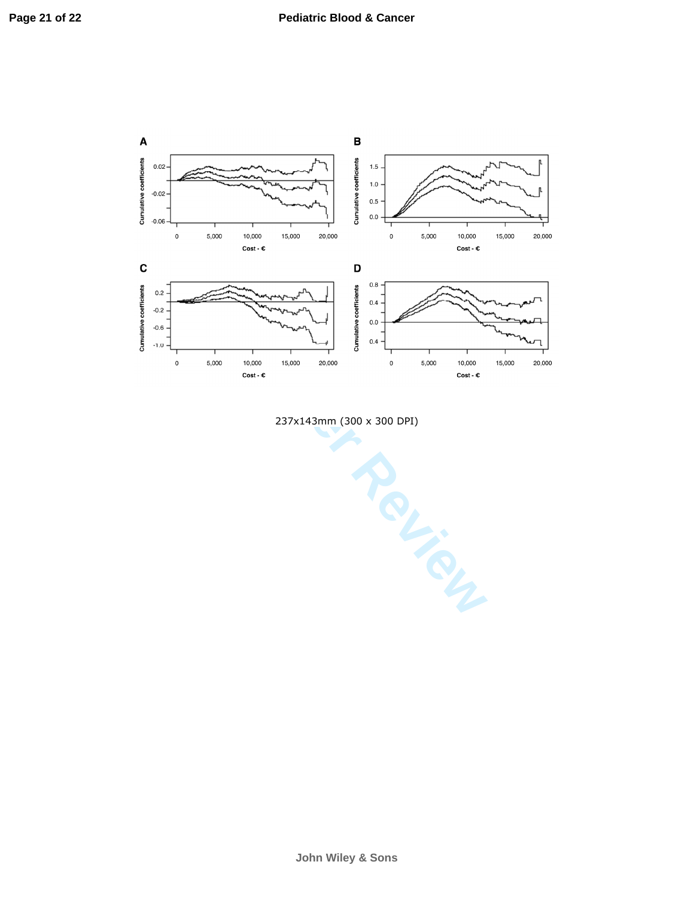

237x143mm (300 x 300 DPI)